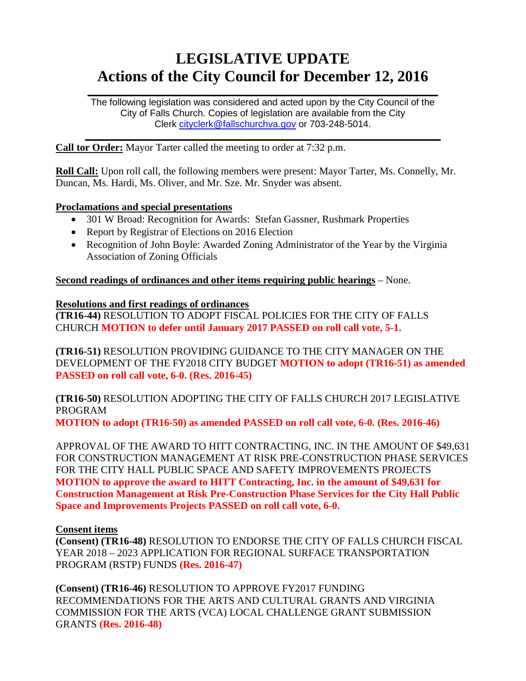# **LEGISLATIVE UPDATE Actions of the City Council for December 12, 2016**

The following legislation was considered and acted upon by the City Council of the City of Falls Church. Copies of legislation are available from the City Clerk [cityclerk@fallschurchva.gov](mailto:cityclerk@fallschurchva.gov) or 703-248-5014.

 $\frac{1}{2}$  ,  $\frac{1}{2}$  ,  $\frac{1}{2}$  ,  $\frac{1}{2}$  ,  $\frac{1}{2}$  ,  $\frac{1}{2}$  ,  $\frac{1}{2}$  ,  $\frac{1}{2}$  ,  $\frac{1}{2}$  ,  $\frac{1}{2}$  ,  $\frac{1}{2}$  ,  $\frac{1}{2}$  ,  $\frac{1}{2}$  ,  $\frac{1}{2}$  ,  $\frac{1}{2}$  ,  $\frac{1}{2}$  ,  $\frac{1}{2}$  ,  $\frac{1}{2}$  ,  $\frac{1$ 

 $\frac{1}{2}$  ,  $\frac{1}{2}$  ,  $\frac{1}{2}$  ,  $\frac{1}{2}$  ,  $\frac{1}{2}$  ,  $\frac{1}{2}$  ,  $\frac{1}{2}$  ,  $\frac{1}{2}$  ,  $\frac{1}{2}$  ,  $\frac{1}{2}$  ,  $\frac{1}{2}$  ,  $\frac{1}{2}$  ,  $\frac{1}{2}$  ,  $\frac{1}{2}$  ,  $\frac{1}{2}$  ,  $\frac{1}{2}$  ,  $\frac{1}{2}$  ,  $\frac{1}{2}$  ,  $\frac{1$ 

**Call tor Order:** Mayor Tarter called the meeting to order at 7:32 p.m.

**Roll Call:** Upon roll call, the following members were present: Mayor Tarter, Ms. Connelly, Mr. Duncan, Ms. Hardi, Ms. Oliver, and Mr. Sze. Mr. Snyder was absent.

### **Proclamations and special presentations**

- 301 W Broad: Recognition for Awards: Stefan Gassner, Rushmark Properties
- Report by Registrar of Elections on 2016 Election
- Recognition of John Boyle: Awarded Zoning Administrator of the Year by the Virginia Association of Zoning Officials

**Second readings of ordinances and other items requiring public hearings** – None.

### **Resolutions and first readings of ordinances**

**(TR16-44)** RESOLUTION TO ADOPT FISCAL POLICIES FOR THE CITY OF FALLS CHURCH **MOTION to defer until January 2017 PASSED on roll call vote, 5-1.** 

**(TR16-51)** RESOLUTION PROVIDING GUIDANCE TO THE CITY MANAGER ON THE DEVELOPMENT OF THE FY2018 CITY BUDGET **MOTION to adopt (TR16-51) as amended PASSED on roll call vote, 6-0. (Res. 2016-45)**

**(TR16-50)** RESOLUTION ADOPTING THE CITY OF FALLS CHURCH 2017 LEGISLATIVE PROGRAM

**MOTION to adopt (TR16-50) as amended PASSED on roll call vote, 6-0. (Res. 2016-46)**

APPROVAL OF THE AWARD TO HITT CONTRACTING, INC. IN THE AMOUNT OF \$49,631 FOR CONSTRUCTION MANAGEMENT AT RISK PRE-CONSTRUCTION PHASE SERVICES FOR THE CITY HALL PUBLIC SPACE AND SAFETY IMPROVEMENTS PROJECTS **MOTION to approve the award to HITT Contracting, Inc. in the amount of \$49,631 for Construction Management at Risk Pre-Construction Phase Services for the City Hall Public Space and Improvements Projects PASSED on roll call vote, 6-0.**

## **Consent items**

**(Consent) (TR16-48)** RESOLUTION TO ENDORSE THE CITY OF FALLS CHURCH FISCAL YEAR 2018 – 2023 APPLICATION FOR REGIONAL SURFACE TRANSPORTATION PROGRAM (RSTP) FUNDS **(Res. 2016-47)**

**(Consent) (TR16-46)** RESOLUTION TO APPROVE FY2017 FUNDING RECOMMENDATIONS FOR THE ARTS AND CULTURAL GRANTS AND VIRGINIA COMMISSION FOR THE ARTS (VCA) LOCAL CHALLENGE GRANT SUBMISSION GRANTS **(Res. 2016-48)**